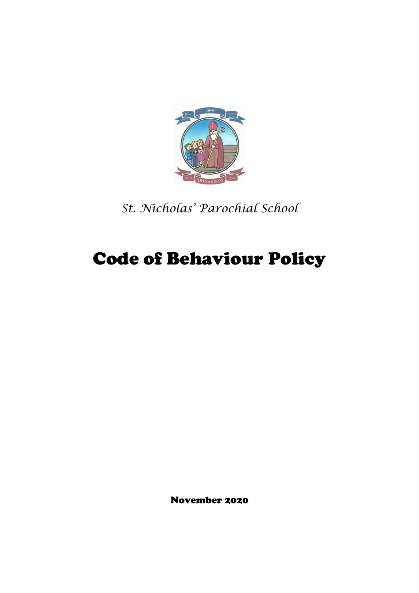

*St. Nicholas' Parochial School*

# Code of Behaviour Policy

November 2020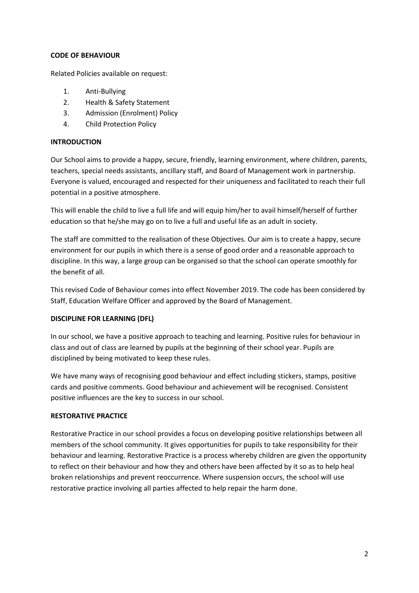#### **CODE OF BEHAVIOUR**

Related Policies available on request:

- 1. Anti-Bullying
- 2. Health & Safety Statement
- 3. Admission (Enrolment) Policy
- 4. Child Protection Policy

## **INTRODUCTION**

Our School aims to provide a happy, secure, friendly, learning environment, where children, parents, teachers, special needs assistants, ancillary staff, and Board of Management work in partnership. Everyone is valued, encouraged and respected for their uniqueness and facilitated to reach their full potential in a positive atmosphere.

This will enable the child to live a full life and will equip him/her to avail himself/herself of further education so that he/she may go on to live a full and useful life as an adult in society.

The staff are committed to the realisation of these Objectives. Our aim is to create a happy, secure environment for our pupils in which there is a sense of good order and a reasonable approach to discipline. In this way, a large group can be organised so that the school can operate smoothly for the benefit of all.

This revised Code of Behaviour comes into effect November 2019. The code has been considered by Staff, Education Welfare Officer and approved by the Board of Management.

## **DISCIPLINE FOR LEARNING (DFL)**

In our school, we have a positive approach to teaching and learning. Positive rules for behaviour in class and out of class are learned by pupils at the beginning of their school year. Pupils are disciplined by being motivated to keep these rules.

We have many ways of recognising good behaviour and effect including stickers, stamps, positive cards and positive comments. Good behaviour and achievement will be recognised. Consistent positive influences are the key to success in our school.

## **RESTORATIVE PRACTICE**

Restorative Practice in our school provides a focus on developing positive relationships between all members of the school community. It gives opportunities for pupils to take responsibility for their behaviour and learning. Restorative Practice is a process whereby children are given the opportunity to reflect on their behaviour and how they and others have been affected by it so as to help heal broken relationships and prevent reoccurrence. Where suspension occurs, the school will use restorative practice involving all parties affected to help repair the harm done.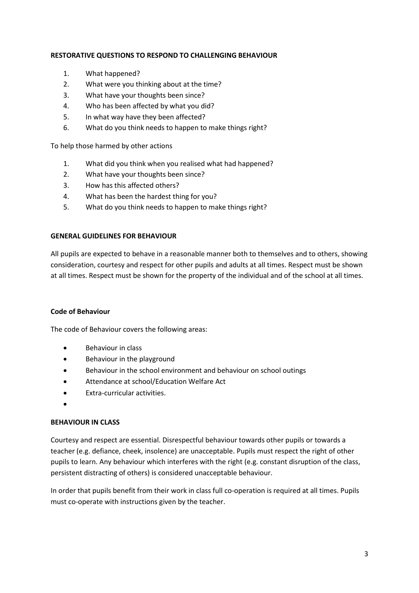#### **RESTORATIVE QUESTIONS TO RESPOND TO CHALLENGING BEHAVIOUR**

- 1. What happened?
- 2. What were you thinking about at the time?
- 3. What have your thoughts been since?
- 4. Who has been affected by what you did?
- 5. In what way have they been affected?
- 6. What do you think needs to happen to make things right?

To help those harmed by other actions

- 1. What did you think when you realised what had happened?
- 2. What have your thoughts been since?
- 3. How has this affected others?
- 4. What has been the hardest thing for you?
- 5. What do you think needs to happen to make things right?

#### **GENERAL GUIDELINES FOR BEHAVIOUR**

All pupils are expected to behave in a reasonable manner both to themselves and to others, showing consideration, courtesy and respect for other pupils and adults at all times. Respect must be shown at all times. Respect must be shown for the property of the individual and of the school at all times.

#### **Code of Behaviour**

The code of Behaviour covers the following areas:

- Behaviour in class
- Behaviour in the playground
- Behaviour in the school environment and behaviour on school outings
- Attendance at school/Education Welfare Act
- Extra-curricular activities.
- •

## **BEHAVIOUR IN CLASS**

Courtesy and respect are essential. Disrespectful behaviour towards other pupils or towards a teacher (e.g. defiance, cheek, insolence) are unacceptable. Pupils must respect the right of other pupils to learn. Any behaviour which interferes with the right (e.g. constant disruption of the class, persistent distracting of others) is considered unacceptable behaviour.

In order that pupils benefit from their work in class full co-operation is required at all times. Pupils must co-operate with instructions given by the teacher.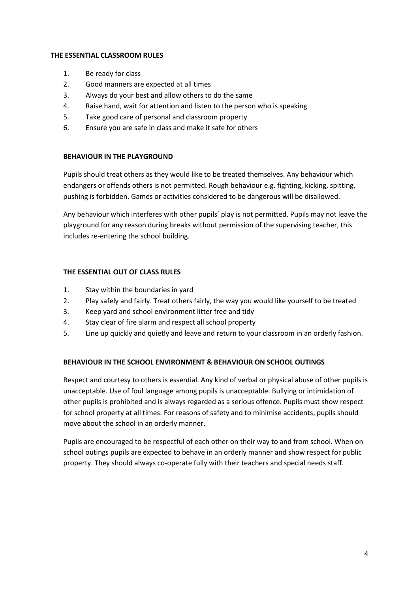#### **THE ESSENTIAL CLASSROOM RULES**

- 1. Be ready for class
- 2. Good manners are expected at all times
- 3. Always do your best and allow others to do the same
- 4. Raise hand, wait for attention and listen to the person who is speaking
- 5. Take good care of personal and classroom property
- 6. Ensure you are safe in class and make it safe for others

# **BEHAVIOUR IN THE PLAYGROUND**

Pupils should treat others as they would like to be treated themselves. Any behaviour which endangers or offends others is not permitted. Rough behaviour e.g. fighting, kicking, spitting, pushing is forbidden. Games or activities considered to be dangerous will be disallowed.

Any behaviour which interferes with other pupils' play is not permitted. Pupils may not leave the playground for any reason during breaks without permission of the supervising teacher, this includes re-entering the school building.

# **THE ESSENTIAL OUT OF CLASS RULES**

- 1. Stay within the boundaries in yard
- 2. Play safely and fairly. Treat others fairly, the way you would like yourself to be treated
- 3. Keep yard and school environment litter free and tidy
- 4. Stay clear of fire alarm and respect all school property
- 5. Line up quickly and quietly and leave and return to your classroom in an orderly fashion.

## **BEHAVIOUR IN THE SCHOOL ENVIRONMENT & BEHAVIOUR ON SCHOOL OUTINGS**

Respect and courtesy to others is essential. Any kind of verbal or physical abuse of other pupils is unacceptable. Use of foul language among pupils is unacceptable. Bullying or intimidation of other pupils is prohibited and is always regarded as a serious offence. Pupils must show respect for school property at all times. For reasons of safety and to minimise accidents, pupils should move about the school in an orderly manner.

Pupils are encouraged to be respectful of each other on their way to and from school. When on school outings pupils are expected to behave in an orderly manner and show respect for public property. They should always co-operate fully with their teachers and special needs staff.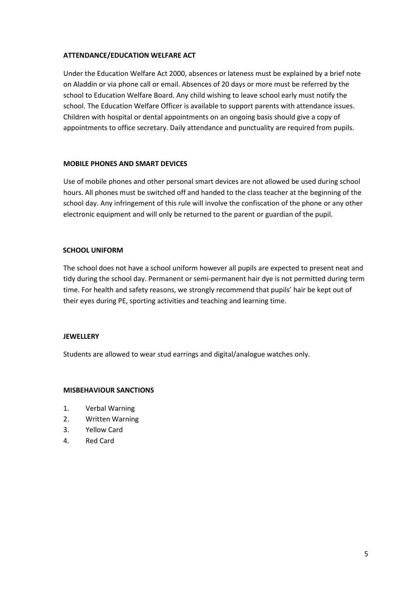#### **ATTENDANCE/EDUCATION WELFARE ACT**

Under the Education Welfare Act 2000, absences or lateness must be explained by a brief note on Aladdin or via phone call or email. Absences of 20 days or more must be referred by the school to Education Welfare Board. Any child wishing to leave school early must notify the school. The Education Welfare Officer is available to support parents with attendance issues. Children with hospital or dental appointments on an ongoing basis should give a copy of appointments to office secretary. Daily attendance and punctuality are required from pupils.

## **MOBILE PHONES AND SMART DEVICES**

Use of mobile phones and other personal smart devices are not allowed be used during school hours. All phones must be switched off and handed to the class teacher at the beginning of the school day. Any infringement of this rule will involve the confiscation of the phone or any other electronic equipment and will only be returned to the parent or guardian of the pupil.

## **SCHOOL UNIFORM**

The school does not have a school uniform however all pupils are expected to present neat and tidy during the school day. Permanent or semi-permanent hair dye is not permitted during term time. For health and safety reasons, we strongly recommend that pupils' hair be kept out of their eyes during PE, sporting activities and teaching and learning time.

#### **JEWELLERY**

Students are allowed to wear stud earrings and digital/analogue watches only.

#### **MISBEHAVIOUR SANCTIONS**

- 1. Verbal Warning
- 2. Written Warning
- 3. Yellow Card
- 4. Red Card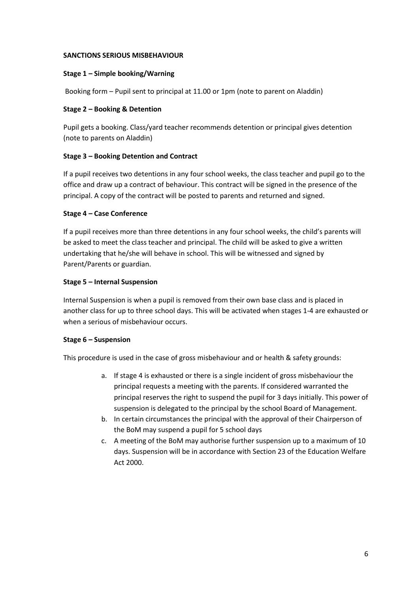#### **SANCTIONS SERIOUS MISBEHAVIOUR**

#### **Stage 1 – Simple booking/Warning**

Booking form – Pupil sent to principal at 11.00 or 1pm (note to parent on Aladdin)

## **Stage 2 – Booking & Detention**

Pupil gets a booking. Class/yard teacher recommends detention or principal gives detention (note to parents on Aladdin)

## **Stage 3 – Booking Detention and Contract**

If a pupil receives two detentions in any four school weeks, the class teacher and pupil go to the office and draw up a contract of behaviour. This contract will be signed in the presence of the principal. A copy of the contract will be posted to parents and returned and signed.

## **Stage 4 – Case Conference**

If a pupil receives more than three detentions in any four school weeks, the child's parents will be asked to meet the class teacher and principal. The child will be asked to give a written undertaking that he/she will behave in school. This will be witnessed and signed by Parent/Parents or guardian.

## **Stage 5 – Internal Suspension**

Internal Suspension is when a pupil is removed from their own base class and is placed in another class for up to three school days. This will be activated when stages 1-4 are exhausted or when a serious of misbehaviour occurs.

#### **Stage 6 – Suspension**

This procedure is used in the case of gross misbehaviour and or health & safety grounds:

- a. If stage 4 is exhausted or there is a single incident of gross misbehaviour the principal requests a meeting with the parents. If considered warranted the principal reserves the right to suspend the pupil for 3 days initially. This power of suspension is delegated to the principal by the school Board of Management.
- b. In certain circumstances the principal with the approval of their Chairperson of the BoM may suspend a pupil for 5 school days
- c. A meeting of the BoM may authorise further suspension up to a maximum of 10 days. Suspension will be in accordance with Section 23 of the Education Welfare Act 2000.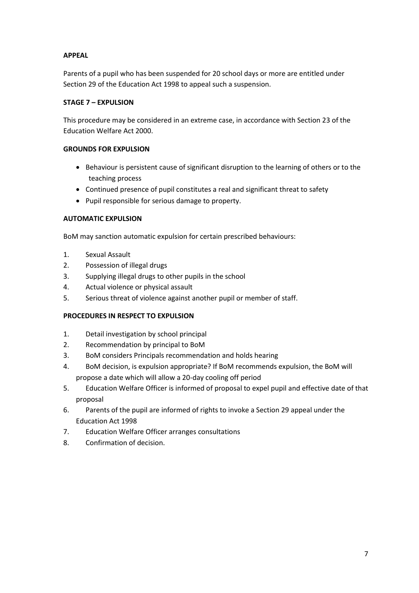## **APPEAL**

Parents of a pupil who has been suspended for 20 school days or more are entitled under Section 29 of the Education Act 1998 to appeal such a suspension.

## **STAGE 7 – EXPULSION**

This procedure may be considered in an extreme case, in accordance with Section 23 of the Education Welfare Act 2000.

## **GROUNDS FOR EXPULSION**

- Behaviour is persistent cause of significant disruption to the learning of others or to the teaching process
- Continued presence of pupil constitutes a real and significant threat to safety
- Pupil responsible for serious damage to property.

# **AUTOMATIC EXPULSION**

BoM may sanction automatic expulsion for certain prescribed behaviours:

- 1. Sexual Assault
- 2. Possession of illegal drugs
- 3. Supplying illegal drugs to other pupils in the school
- 4. Actual violence or physical assault
- 5. Serious threat of violence against another pupil or member of staff.

## **PROCEDURES IN RESPECT TO EXPULSION**

- 1. Detail investigation by school principal
- 2. Recommendation by principal to BoM
- 3. BoM considers Principals recommendation and holds hearing
- 4. BoM decision, is expulsion appropriate? If BoM recommends expulsion, the BoM will propose a date which will allow a 20-day cooling off period
- 5. Education Welfare Officer is informed of proposal to expel pupil and effective date of that proposal
- 6. Parents of the pupil are informed of rights to invoke a Section 29 appeal under the Education Act 1998
- 7. Education Welfare Officer arranges consultations
- 8. Confirmation of decision.